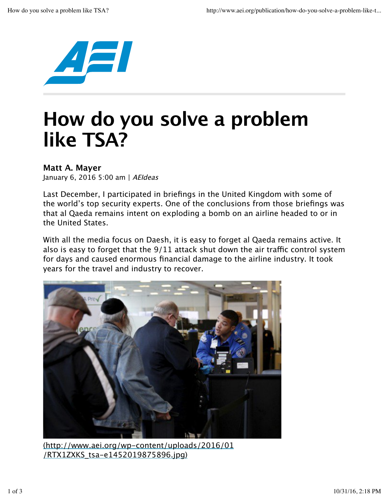

## **How do you solve a problem like TSA?**

## **Matt A. Mayer**

January 6, 2016 5:00 am | AEIdeas

Last December, I participated in briefings in the United Kingdom with some of the world's top security experts. One of the conclusions from those briefings was that al Qaeda remains intent on exploding a bomb on an airline headed to or in the United States.

With all the media focus on Daesh, it is easy to forget al Qaeda remains active. It also is easy to forget that the  $9/11$  attack shut down the air traffic control system for days and caused enormous financial damage to the airline industry. It took years for the travel and industry to recover.



(http://www.aei.org/wp-content/uploads/2016/01 /RTX1ZXKS\_tsa-e1452019875896.jpg)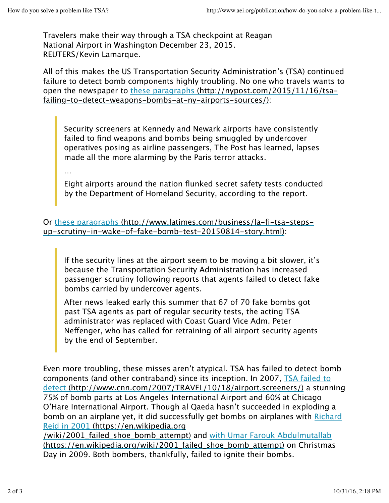Travelers make their way through a TSA checkpoint at Reagan National Airport in Washington December 23, 2015. REUTERS/Kevin Lamarque.

All of this makes the US Transportation Security Administration's (TSA) continued failure to detect bomb components highly troubling. No one who travels wants to open the newspaper to these paragraphs (http://nypost.com/2015/11/16/tsafailing-to-detect-weapons-bombs-at-ny-airports-sources/):

Security screeners at Kennedy and Newark airports have consistently failed to find weapons and bombs being smuggled by undercover operatives posing as airline passengers, The Post has learned, lapses made all the more alarming by the Paris terror attacks.

…

Eight airports around the nation flunked secret safety tests conducted by the Department of Homeland Security, according to the report.

Or these paragraphs (http://www.latimes.com/business/la-fi-tsa-stepsup-scrutiny-in-wake-of-fake-bomb-test-20150814-story.html):

If the security lines at the airport seem to be moving a bit slower, it's because the Transportation Security Administration has increased passenger scrutiny following reports that agents failed to detect fake bombs carried by undercover agents.

After news leaked early this summer that 67 of 70 fake bombs got past TSA agents as part of regular security tests, the acting TSA administrator was replaced with Coast Guard Vice Adm. Peter Nefenger, who has called for retraining of all airport security agents by the end of September.

Even more troubling, these misses aren't atypical. TSA has failed to detect bomb components (and other contraband) since its inception. In 2007, TSA failed to detect (http://www.cnn.com/2007/TRAVEL/10/18/airport.screeners/) a stunning 75% of bomb parts at Los Angeles International Airport and 60% at Chicago O'Hare International Airport. Though al Qaeda hasn't succeeded in exploding a bomb on an airplane yet, it did successfully get bombs on airplanes with Richard Reid in 2001 (https://en.wikipedia.org

/wiki/2001 failed shoe bomb attempt) and with Umar Farouk Abdulmutallab (https://en.wikipedia.org/wiki/2001\_failed\_shoe\_bomb\_attempt) on Christmas Day in 2009. Both bombers, thankfully, failed to ignite their bombs.